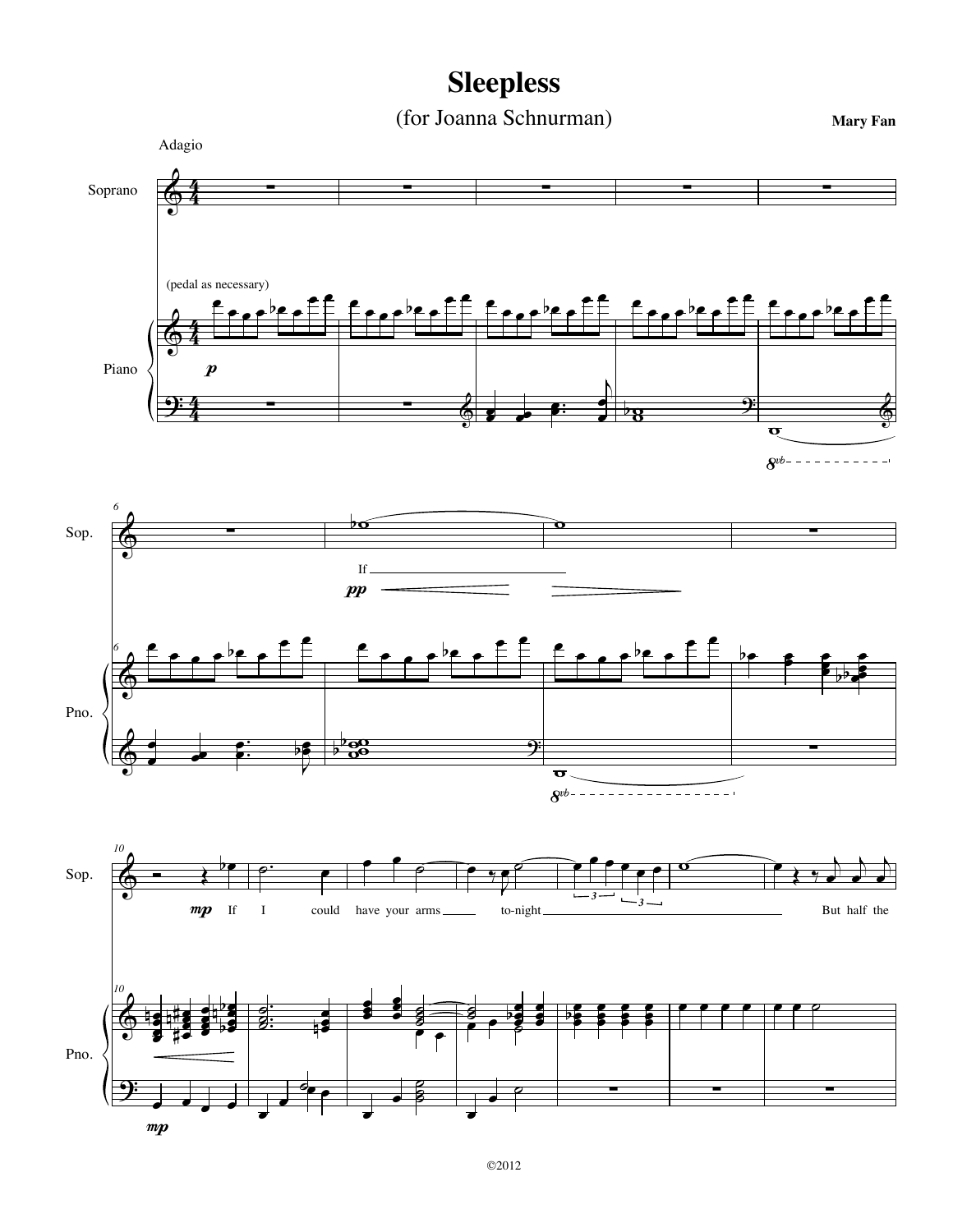## **Sleepless**

(for Joanna Schnurman)

**Mary Fan**

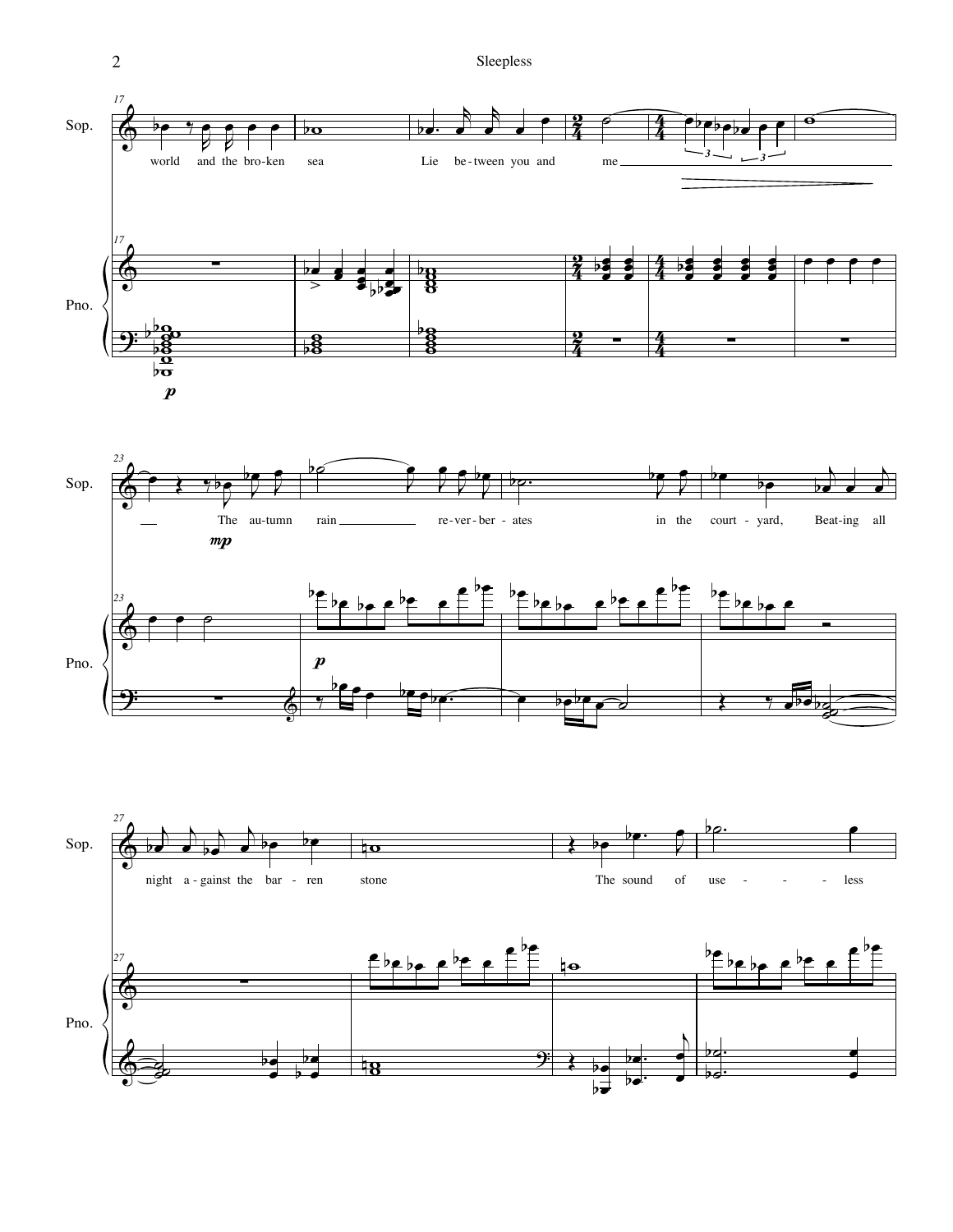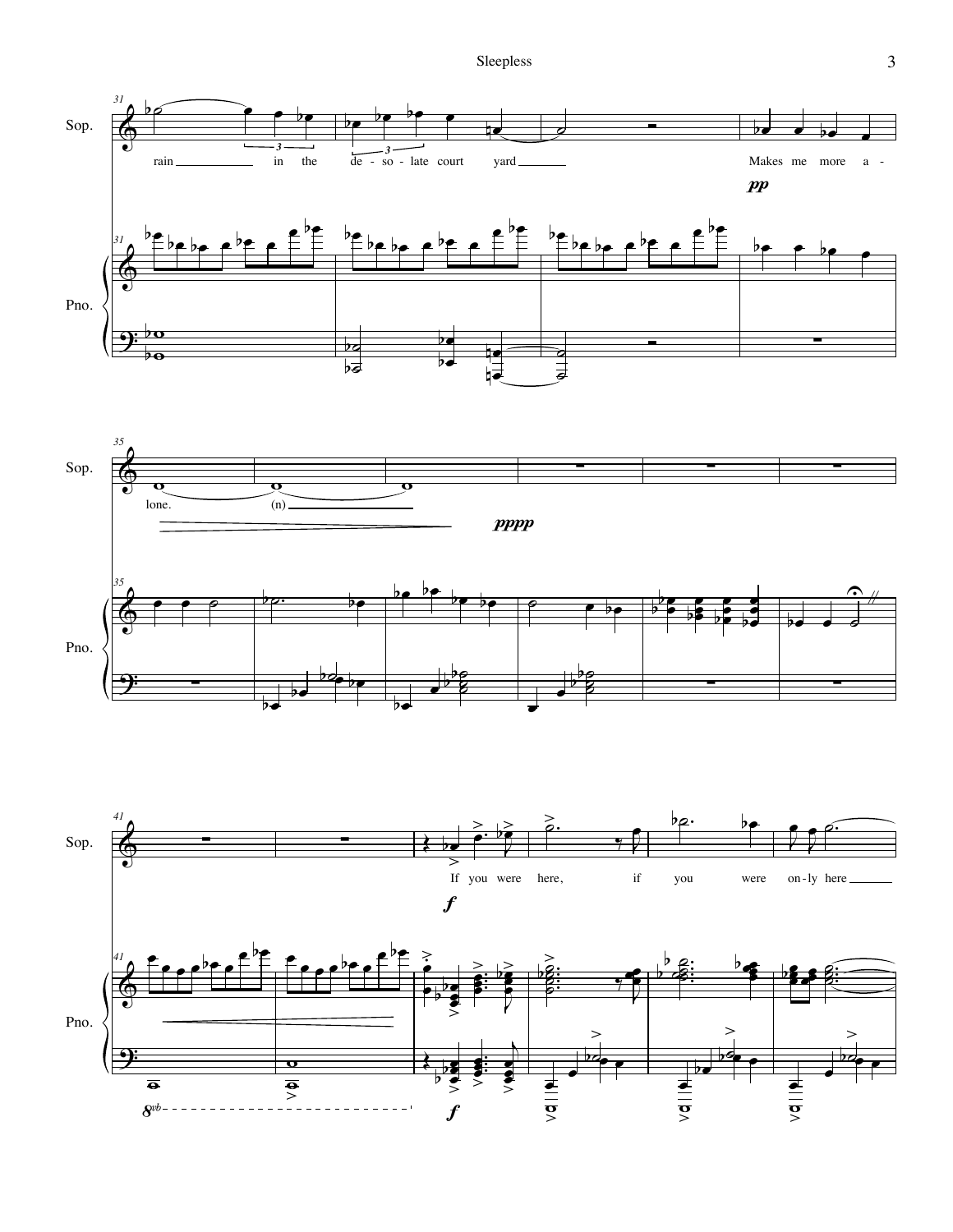